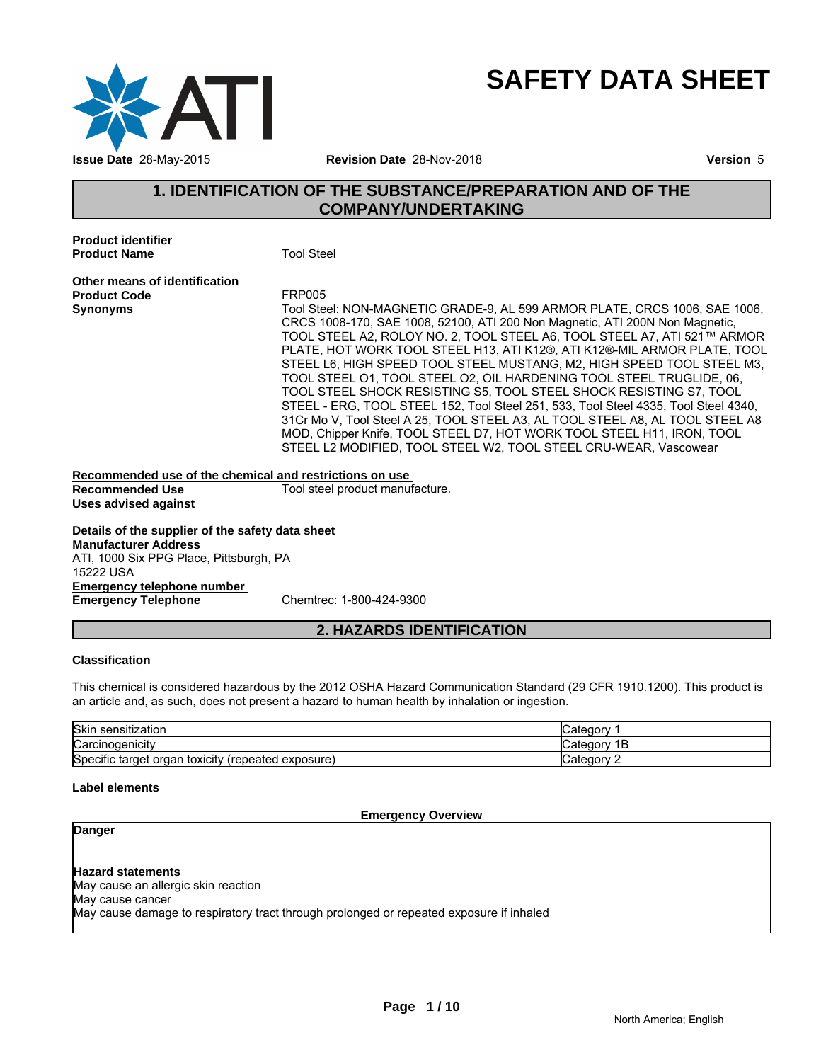

# **SAFETY DATA SHEET**

# **1. IDENTIFICATION OF THE SUBSTANCE/PREPARATION AND OF THE<br>
THE SUBSTANCE/PREPARATION AND OF THE<br>
Tool Steel<br>
Tool Steel<br>
Tool Steel<br>
Tool Steel<br>
Tool Steel<br>
Tool Steel<br>
Tool Steel<br>
Tool Steel<br>
Tool Steel<br>
Tool Steel<br>
Tool COMPANY/UNDERTAKING**

**Product identifier Product Name** Tool Steel

**Other means of identification Product Code**<br>Synonyms

**Synonyms** Tool Steel: NON-MAGNETIC GRADE-9, AL 599 ARMOR PLATE, CRCS 1006, SAE 1006, CRCS 1008-170, SAE 1008, 52100, ATI 200 Non Magnetic, ATI 200N Non Magnetic, TOOL STEEL A2, ROLOY NO. 2, TOOL STEEL A6, TOOL STEEL A7, ATI 521™ ARMOR PLATE, HOT WORK TOOL STEEL H13, ATI K12®, ATI K12®-MIL ARMOR PLATE, TOOL STEEL L6, HIGH SPEED TOOL STEEL MUSTANG, M2, HIGH SPEED TOOL STEEL M3, TOOL STEEL O1, TOOL STEEL O2, OIL HARDENING TOOL STEEL TRUGLIDE, 06, TOOL STEEL SHOCK RESISTING S5, TOOL STEEL SHOCK RESISTING S7, TOOL STEEL - ERG, TOOL STEEL 152, Tool Steel 251, 533, Tool Steel 4335, Tool Steel 4340, 31Cr Mo V, Tool Steel A 25, TOOL STEEL A3, AL TOOL STEEL A8, AL TOOL STEEL A8 MOD, Chipper Knife, TOOL STEEL D7, HOT WORK TOOL STEEL H11, IRON, TOOL STEEL L2 MODIFIED, TOOL STEEL W2, TOOL STEEL CRU-WEAR, Vascowear - ERG, TOOL STEEL 152, Tool Steel 251, 533, Tool Steel 4335, Tool Steel<br>*Ao* V, Tool Steel A 25, TOOL STEEL A3, AL TOOL STEEL A8, AL TOOL STE<br>Chipper Knife, TOOL STEEL D7, HOT WORK TOOL STEEL A4, AL TOOL STE<br>Chipper Knife,

# **Recommended use of the chemical and restrictions on use**

**Uses advised against**

Tool steel product manufacture.

**Details of the supplier of the safety data sheet Emergency telephone number Emergency Telephone** Chemtrec: 1-800-424-9300 **Manufacturer Address** ATI, 1000 Six PPG Place, Pittsburgh, PA 15222 USA

# **Classification**

This chemical is considered hazardous by the 2012 OSHA Hazard Communication Standard (29 CFR 1910.1200). This product is an article and, as such, does not present a hazard to human health by inhalation or ingestion.

| <b>Skir</b><br>.<br>sensitization                                        | ∵ategorٽ     |
|--------------------------------------------------------------------------|--------------|
| Carcinogenicity                                                          | Ë<br>"atego" |
| Specific<br>. .<br>toxicity<br>exposure)<br>organ<br>'repeated<br>target | √ategorٽ     |

# **Label elements**

# **Emergency Overview**

# **Danger**

# **Hazard statements**

May cause an allergic skin reaction

May cause cancer

May cause damage to respiratory tract through prolonged or repeated exposure if inhaled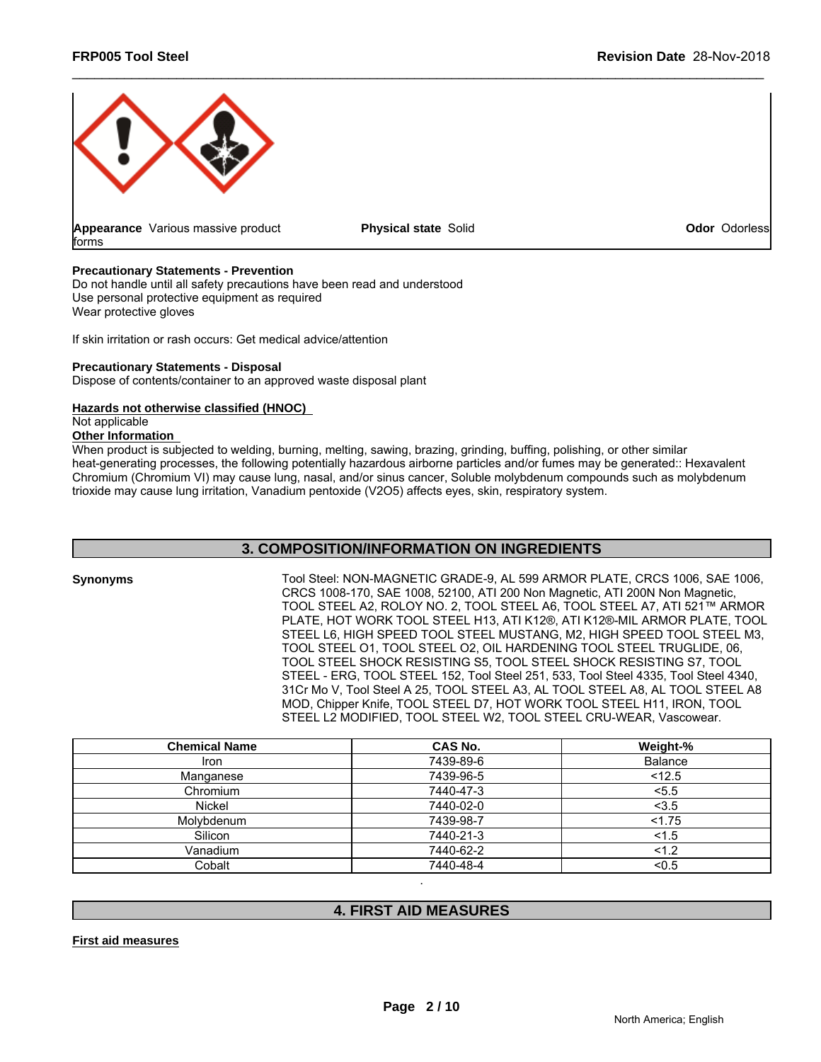

**Physical state Solid Contract Contract Contract Contract Contract Contract Contract Contract Contract Contract Contract Contract Contract Contract Contract Contract Contract Contract Contract Contract Contract Contract Co** 

# **Precautionary Statements - Prevention**

Do not handle until all safety precautions have been read and understood Use personal protective equipment as required Wear protective gloves

If skin irritation or rash occurs: Get medical advice/attention

# **Precautionary Statements - Disposal**

Dispose of contents/container to an approved waste disposal plant

# **Hazards not otherwise classified (HNOC)**

Not applicable

# **Other Information**

When product is subjected to welding, burning, melting, sawing, brazing, grinding, buffing, polishing, or other similar heat-generating processes, the following potentially hazardous airborne particles and/or fumes may be generated:: Hexavalent Chromium (Chromium VI) may cause lung, nasal, and/or sinus cancer, Soluble molybdenum compounds such as molybdenum trioxide may cause lung irritation, Vanadium pentoxide (V2O5) affects eyes, skin, respiratory system. Set medical advice/attention<br> **ied (HNOC)**<br> **3. COMPOSITION:** The same advice in the small of the small of the small of the small of the small of<br>
following potentially hazardous airborne particles and/or funnes may be gen

| <b>Synonyms</b> | Tool Steel: NON-MAGNETIC GRADE-9, AL 599 ARMOR PLATE, CRCS 1006, SAE 1006,<br>CRCS 1008-170, SAE 1008, 52100, ATI 200 Non Magnetic, ATI 200N Non Magnetic,<br>TOOL STEEL A2, ROLOY NO. 2, TOOL STEEL A6, TOOL STEEL A7, ATI 521™ ARMOR<br>PLATE, HOT WORK TOOL STEEL H13, ATI K12®, ATI K12®-MIL ARMOR PLATE, TOOL<br>STEEL L6, HIGH SPEED TOOL STEEL MUSTANG, M2, HIGH SPEED TOOL STEEL M3,<br>TOOL STEEL 01. TOOL STEEL 02. OIL HARDENING TOOL STEEL TRUGLIDE. 06.<br>TOOL STEEL SHOCK RESISTING S5, TOOL STEEL SHOCK RESISTING S7, TOOL<br>STEEL - ERG, TOOL STEEL 152, Tool Steel 251, 533, Tool Steel 4335, Tool Steel 4340,<br>31Cr Mo V, Tool Steel A 25, TOOL STEEL A3, AL TOOL STEEL A8, AL TOOL STEEL A8 |
|-----------------|--------------------------------------------------------------------------------------------------------------------------------------------------------------------------------------------------------------------------------------------------------------------------------------------------------------------------------------------------------------------------------------------------------------------------------------------------------------------------------------------------------------------------------------------------------------------------------------------------------------------------------------------------------------------------------------------------------------------|
|                 |                                                                                                                                                                                                                                                                                                                                                                                                                                                                                                                                                                                                                                                                                                                    |
|                 | MOD, Chipper Knife, TOOL STEEL D7, HOT WORK TOOL STEEL H11, IRON, TOOL<br>STEEL L2 MODIFIED, TOOL STEEL W2, TOOL STEEL CRU-WEAR, Vascowear.                                                                                                                                                                                                                                                                                                                                                                                                                                                                                                                                                                        |
|                 |                                                                                                                                                                                                                                                                                                                                                                                                                                                                                                                                                                                                                                                                                                                    |

| <b>Chemical Name</b> | CAS No.                      | Weight-%       |
|----------------------|------------------------------|----------------|
| Iron                 | 7439-89-6                    | <b>Balance</b> |
| Manganese            | 7439-96-5                    | < 12.5         |
| Chromium             | 7440-47-3                    | < 5.5          |
| Nickel               | 7440-02-0                    | < 3.5          |
| Molybdenum           | 7439-98-7                    | < 1.75         |
| Silicon              | 7440-21-3                    | 1.5            |
| Vanadium             | 7440-62-2                    | 1.2            |
| Cobalt               | 7440-48-4                    | < 0.5          |
|                      | <b>4. FIRST AID MEASURES</b> |                |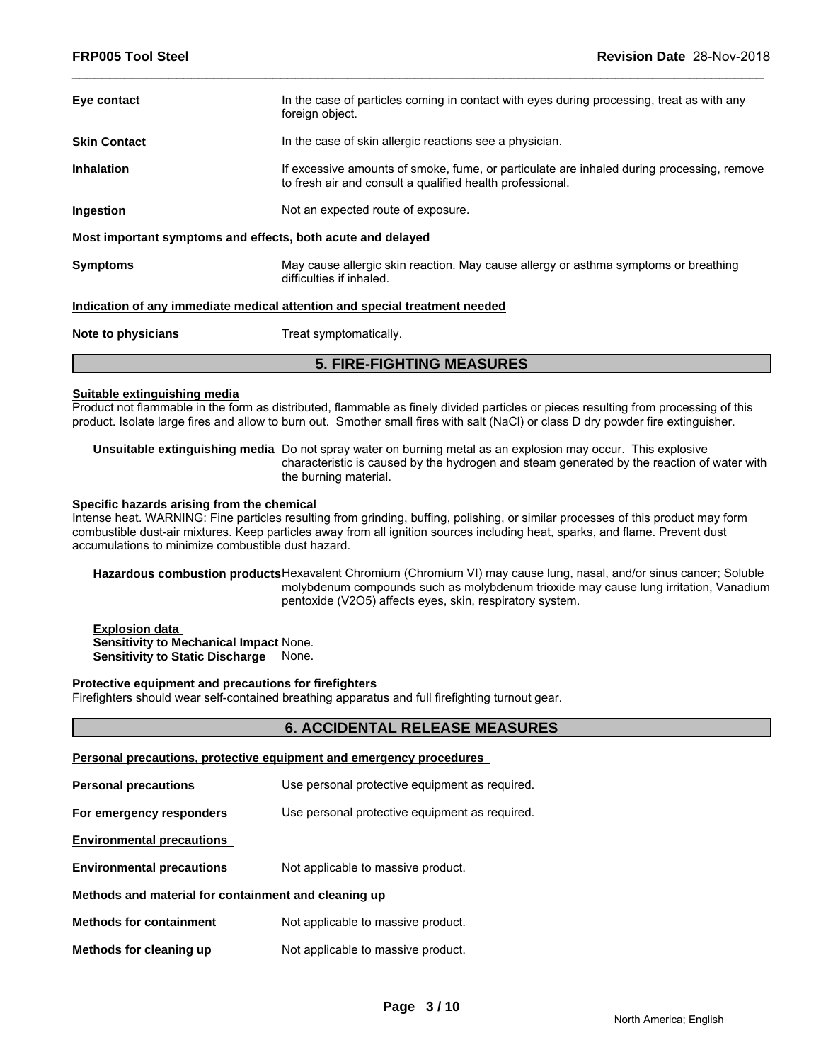| Eye contact                                                                | In the case of particles coming in contact with eyes during processing, treat as with any<br>foreign object.                                           |  |  |
|----------------------------------------------------------------------------|--------------------------------------------------------------------------------------------------------------------------------------------------------|--|--|
| <b>Skin Contact</b>                                                        | In the case of skin allergic reactions see a physician.                                                                                                |  |  |
| <b>Inhalation</b>                                                          | If excessive amounts of smoke, fume, or particulate are inhaled during processing, remove<br>to fresh air and consult a qualified health professional. |  |  |
| <b>Ingestion</b>                                                           | Not an expected route of exposure.                                                                                                                     |  |  |
| Most important symptoms and effects, both acute and delayed                |                                                                                                                                                        |  |  |
| <b>Symptoms</b>                                                            | May cause allergic skin reaction. May cause allergy or asthma symptoms or breathing<br>difficulties if inhaled.                                        |  |  |
| Indication of any immediate medical attention and special treatment needed |                                                                                                                                                        |  |  |
| Note to physicians                                                         | Treat symptomatically.                                                                                                                                 |  |  |
|                                                                            |                                                                                                                                                        |  |  |

# **5. FIRE-FIGHTING MEASURES**

# **Suitable extinguishing media**

Product not flammable in the form as distributed, flammable as finely divided particles or pieces resulting from processing of this product. Isolate large fires and allow to burn out. Smother small fires with salt (NaCl) or class D dry powder fire extinguisher.

**Unsuitable extinguishing media** Do not spray water on burning metal as an explosion may occur. This explosive characteristic is caused by the hydrogen and steam generated by the reaction of water with the burning material.

# **Specific hazards arising from the chemical**

Intense heat. WARNING: Fine particles resulting from grinding, buffing, polishing, or similar processes of this product may form combustible dust-air mixtures. Keep particles away from all ignition sources including heat, sparks, and flame. Prevent dust accumulations to minimize combustible dust hazard.

**Hazardous combustion products**Hexavalent Chromium (Chromium VI) may cause lung, nasal, and/or sinus cancer; Soluble molybdenum compounds such as molybdenum trioxide may cause lung irritation, Vanadium pentoxide (V2O5) affects eyes, skin, respiratory system.

**Explosion data Sensitivity to Mechanical Impact** None. **Sensitivity to Static Discharge** None.

# **Protective equipment and precautions for firefighters**

Firefighters should wear self-contained breathing apparatus and full firefighting turnout gear.

# **6. ACCIDENTAL RELEASE MEASURES**

| Personal precautions, protective equipment and emergency procedures |                                                |  |  |
|---------------------------------------------------------------------|------------------------------------------------|--|--|
| <b>Personal precautions</b>                                         | Use personal protective equipment as required. |  |  |
| For emergency responders                                            | Use personal protective equipment as required. |  |  |
| <b>Environmental precautions</b>                                    |                                                |  |  |
| <b>Environmental precautions</b>                                    | Not applicable to massive product.             |  |  |
| Methods and material for containment and cleaning up                |                                                |  |  |
| <b>Methods for containment</b>                                      | Not applicable to massive product.             |  |  |
| Methods for cleaning up                                             | Not applicable to massive product.             |  |  |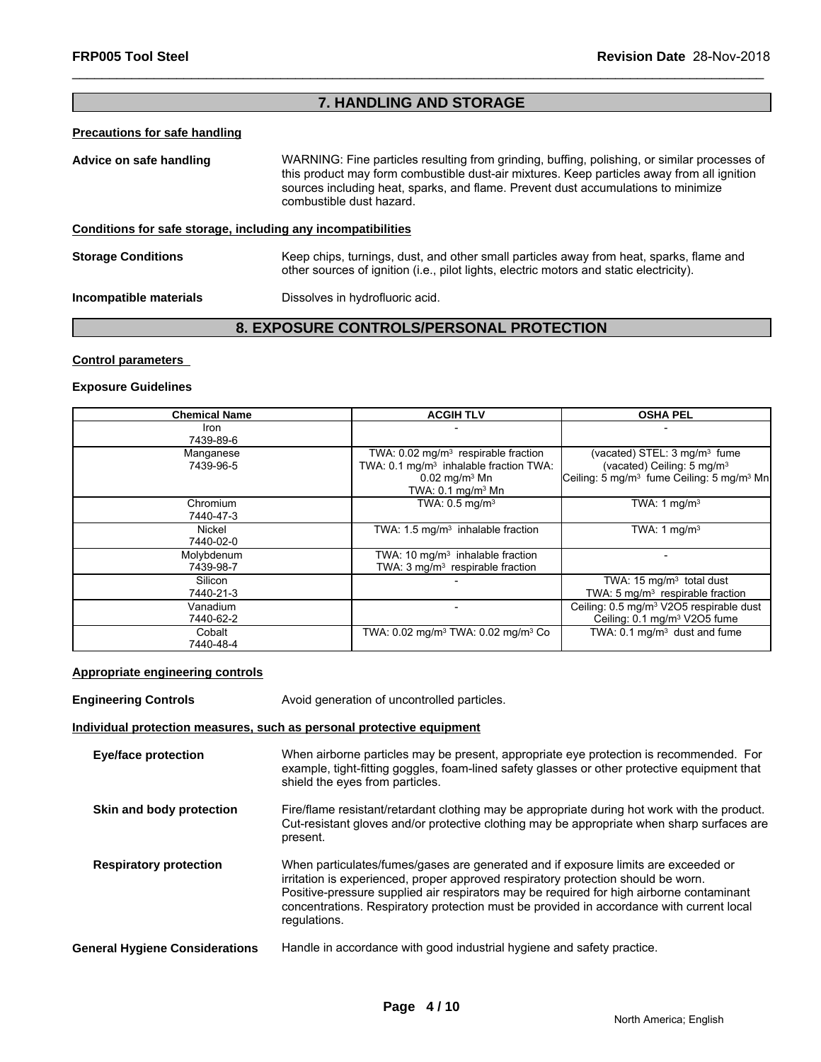# **7. HANDLING AND STORAGE**

# **Precautions for safe handling**

| WARNING: Fine particles resulting from grinding, buffing, polishing, or similar processes of<br>Advice on safe handling<br>this product may form combustible dust-air mixtures. Keep particles away from all ignition<br>sources including heat, sparks, and flame. Prevent dust accumulations to minimize<br>combustible dust hazard. |                                                                                                                                                                                    |
|----------------------------------------------------------------------------------------------------------------------------------------------------------------------------------------------------------------------------------------------------------------------------------------------------------------------------------------|------------------------------------------------------------------------------------------------------------------------------------------------------------------------------------|
| Conditions for safe storage, including any incompatibilities                                                                                                                                                                                                                                                                           |                                                                                                                                                                                    |
| <b>Storage Conditions</b>                                                                                                                                                                                                                                                                                                              | Keep chips, turnings, dust, and other small particles away from heat, sparks, flame and<br>other sources of ignition (i.e., pilot lights, electric motors and static electricity). |
| Incompatible materials                                                                                                                                                                                                                                                                                                                 | Dissolves in hydrofluoric acid.                                                                                                                                                    |

# **8. EXPOSURE CONTROLS/PERSONAL PROTECTION**

# **Control parameters**

# **Exposure Guidelines**

| <b>Chemical Name</b>    | <b>ACGIH TLV</b>                                                                                                                                                    | <b>OSHA PEL</b>                                                                                                                                        |
|-------------------------|---------------------------------------------------------------------------------------------------------------------------------------------------------------------|--------------------------------------------------------------------------------------------------------------------------------------------------------|
| Iron<br>7439-89-6       |                                                                                                                                                                     |                                                                                                                                                        |
| Manganese<br>7439-96-5  | TWA: $0.02 \text{ mg/m}^3$ respirable fraction<br>TWA: 0.1 mg/m <sup>3</sup> inhalable fraction TWA:<br>$0.02 \,\mathrm{mg/m^3}$ Mn<br>TWA: $0.1 \text{ mg/m}^3$ Mn | (vacated) STEL: $3 \text{ mg/m}^3$ fume<br>(vacated) Ceiling: 5 mg/m <sup>3</sup><br>Ceiling: 5 mg/m <sup>3</sup> fume Ceiling: 5 mg/m <sup>3</sup> Mn |
| Chromium<br>7440-47-3   | TWA: $0.5$ mg/m <sup>3</sup>                                                                                                                                        | TWA: 1 mg/m <sup>3</sup>                                                                                                                               |
| Nickel<br>7440-02-0     | TWA: $1.5 \text{ mg/m}^3$ inhalable fraction                                                                                                                        | TWA: 1 mg/m <sup>3</sup>                                                                                                                               |
| Molybdenum<br>7439-98-7 | TWA: 10 $mq/m3$ inhalable fraction<br>TWA: $3 \text{ mg/m}^3$ respirable fraction                                                                                   |                                                                                                                                                        |
| Silicon<br>7440-21-3    |                                                                                                                                                                     | TWA: $15 \text{ mg/m}^3$ total dust<br>TWA: 5 $mg/m3$ respirable fraction                                                                              |
| Vanadium<br>7440-62-2   |                                                                                                                                                                     | Ceiling: 0.5 mg/m <sup>3</sup> V2O5 respirable dust<br>Ceiling: 0.1 mg/m <sup>3</sup> V2O5 fume                                                        |
| Cobalt<br>7440-48-4     | TWA: $0.02 \text{ mg/m}^3$ TWA: $0.02 \text{ mg/m}^3$ Co                                                                                                            | TWA: $0.1 \text{ mg/m}^3$ dust and fume                                                                                                                |

# **Appropriate engineering controls**

| <b>Engineering Controls</b>           | Avoid generation of uncontrolled particles.                                                                                                                                                                                                                                                                                                                                     |
|---------------------------------------|---------------------------------------------------------------------------------------------------------------------------------------------------------------------------------------------------------------------------------------------------------------------------------------------------------------------------------------------------------------------------------|
|                                       | Individual protection measures, such as personal protective equipment                                                                                                                                                                                                                                                                                                           |
| <b>Eye/face protection</b>            | When airborne particles may be present, appropriate eye protection is recommended. For<br>example, tight-fitting goggles, foam-lined safety glasses or other protective equipment that<br>shield the eyes from particles.                                                                                                                                                       |
| Skin and body protection              | Fire/flame resistant/retardant clothing may be appropriate during hot work with the product.<br>Cut-resistant gloves and/or protective clothing may be appropriate when sharp surfaces are<br>present.                                                                                                                                                                          |
| <b>Respiratory protection</b>         | When particulates/fumes/gases are generated and if exposure limits are exceeded or<br>irritation is experienced, proper approved respiratory protection should be worn.<br>Positive-pressure supplied air respirators may be required for high airborne contaminant<br>concentrations. Respiratory protection must be provided in accordance with current local<br>regulations. |
| <b>General Hygiene Considerations</b> | Handle in accordance with good industrial hygiene and safety practice.                                                                                                                                                                                                                                                                                                          |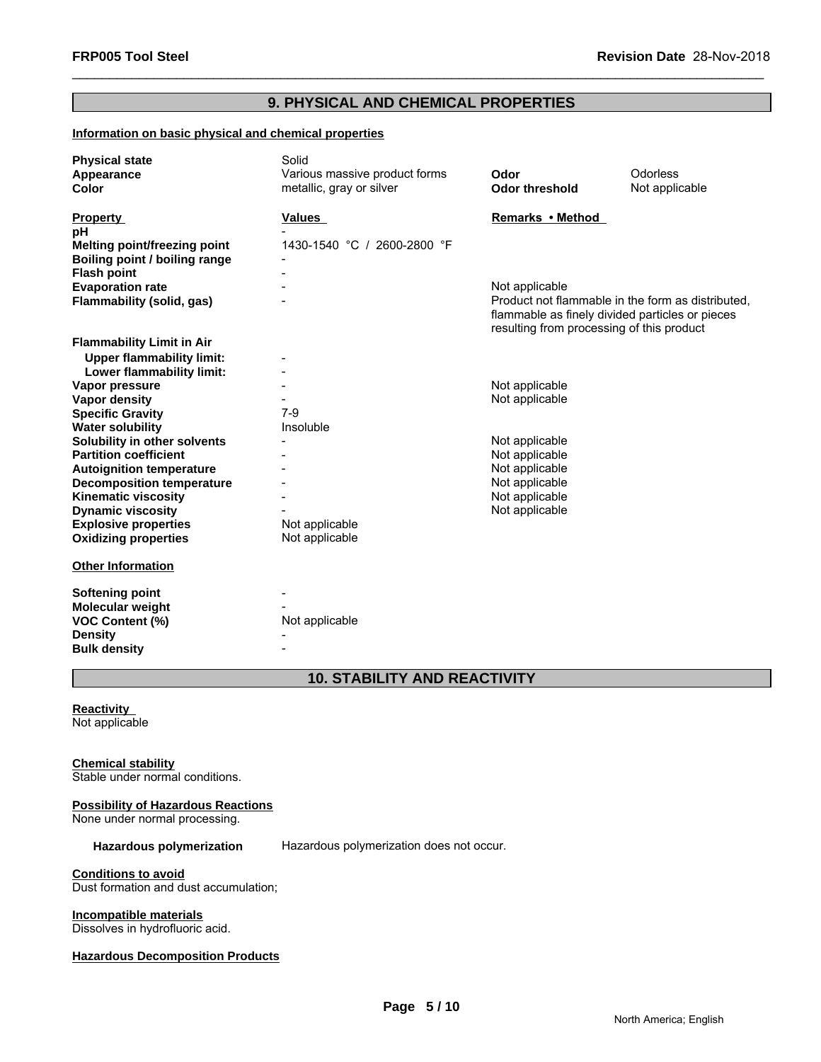# **9. PHYSICAL AND CHEMICAL PROPERTIES**

# **Information on basic physical and chemical properties**

| <b>Physical state</b>               | Solid                         |                                                                                                                                                   |                |
|-------------------------------------|-------------------------------|---------------------------------------------------------------------------------------------------------------------------------------------------|----------------|
| Appearance                          | Various massive product forms | Odor                                                                                                                                              | Odorless       |
| <b>Color</b>                        | metallic, gray or silver      | <b>Odor threshold</b>                                                                                                                             | Not applicable |
| <b>Property</b>                     | Values                        | Remarks • Method                                                                                                                                  |                |
| рH                                  |                               |                                                                                                                                                   |                |
| <b>Melting point/freezing point</b> | 1430-1540 °C / 2600-2800 °F   |                                                                                                                                                   |                |
| Boiling point / boiling range       |                               |                                                                                                                                                   |                |
| <b>Flash point</b>                  |                               |                                                                                                                                                   |                |
| <b>Evaporation rate</b>             |                               | Not applicable                                                                                                                                    |                |
| Flammability (solid, gas)           |                               | Product not flammable in the form as distributed.<br>flammable as finely divided particles or pieces<br>resulting from processing of this product |                |
| <b>Flammability Limit in Air</b>    |                               |                                                                                                                                                   |                |
| <b>Upper flammability limit:</b>    |                               |                                                                                                                                                   |                |
| Lower flammability limit:           |                               |                                                                                                                                                   |                |
| Vapor pressure                      |                               | Not applicable                                                                                                                                    |                |
| Vapor density                       |                               | Not applicable                                                                                                                                    |                |
| <b>Specific Gravity</b>             | $7-9$                         |                                                                                                                                                   |                |
| <b>Water solubility</b>             | Insoluble                     |                                                                                                                                                   |                |
| Solubility in other solvents        |                               | Not applicable                                                                                                                                    |                |
| <b>Partition coefficient</b>        |                               | Not applicable                                                                                                                                    |                |
| <b>Autoignition temperature</b>     |                               | Not applicable                                                                                                                                    |                |
| <b>Decomposition temperature</b>    |                               | Not applicable                                                                                                                                    |                |
| <b>Kinematic viscosity</b>          |                               | Not applicable                                                                                                                                    |                |
| <b>Dynamic viscosity</b>            |                               | Not applicable                                                                                                                                    |                |
| <b>Explosive properties</b>         | Not applicable                |                                                                                                                                                   |                |
| <b>Oxidizing properties</b>         | Not applicable                |                                                                                                                                                   |                |
| <b>Other Information</b>            |                               |                                                                                                                                                   |                |
| <b>Softening point</b>              |                               |                                                                                                                                                   |                |
| Molecular weight                    |                               |                                                                                                                                                   |                |
| <b>VOC Content (%)</b>              | Not applicable                |                                                                                                                                                   |                |
| <b>Density</b>                      |                               |                                                                                                                                                   |                |
| <b>Bulk density</b>                 |                               |                                                                                                                                                   |                |

# **10. STABILITY AND REACTIVITY**

# **Reactivity**  Not applicable

# **Chemical stability**

Stable under normal conditions.

# **Possibility of Hazardous Reactions**

None under normal processing.

Hazardous polymerization Hazardous polymerization does not occur.

# **Conditions to avoid**

Dust formation and dust accumulation;

# **Incompatible materials**

Dissolves in hydrofluoric acid.

# **Hazardous Decomposition Products**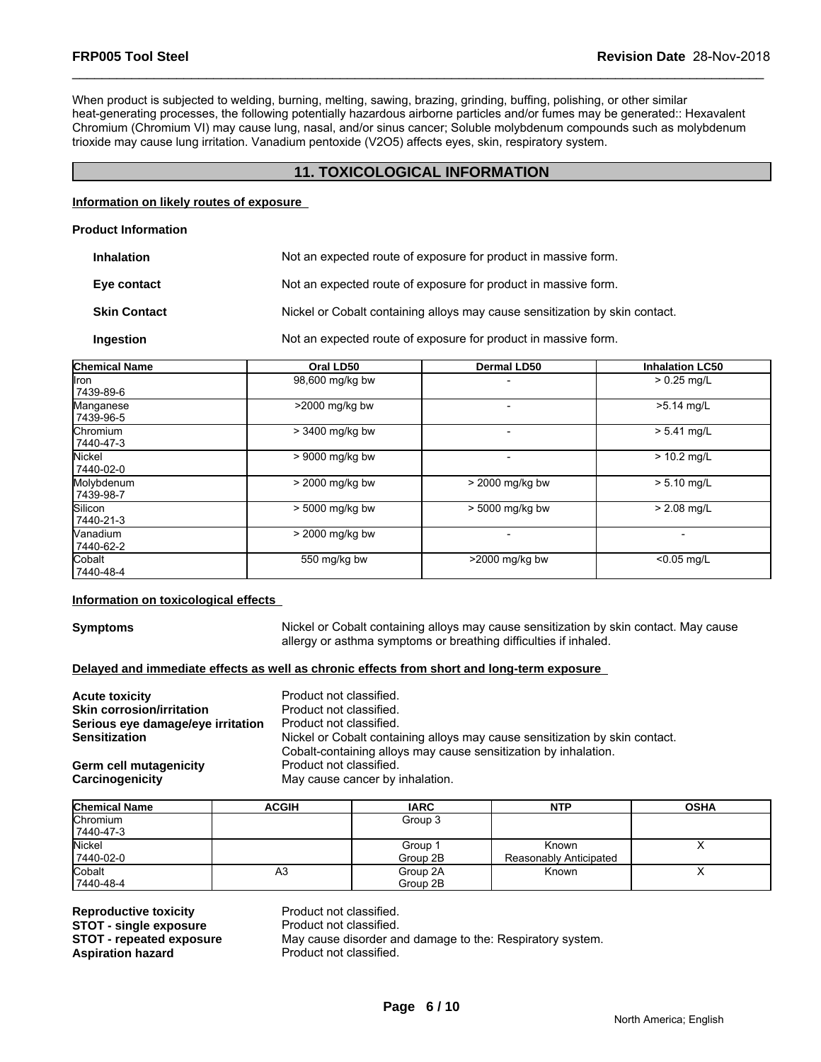When product is subjected to welding, burning, melting, sawing, brazing, grinding, buffing, polishing, or other similar heat-generating processes, the following potentially hazardous airborne particles and/or fumes may be generated:: Hexavalent Chromium (Chromium VI) may cause lung, nasal, and/or sinus cancer; Soluble molybdenum compounds such as molybdenum trioxide may cause lung irritation. Vanadium pentoxide (V2O5) affects eyes, skin, respiratory system.

# **11. TOXICOLOGICAL INFORMATION**

# **Information on likely routes of exposure**

# **Product Information**

| <b>Inhalation</b>   | Not an expected route of exposure for product in massive form.              |
|---------------------|-----------------------------------------------------------------------------|
| Eye contact         | Not an expected route of exposure for product in massive form.              |
| <b>Skin Contact</b> | Nickel or Cobalt containing alloys may cause sensitization by skin contact. |
| Ingestion           | Not an expected route of exposure for product in massive form.              |

| <b>Chemical Name</b>         | Oral LD50       | <b>Dermal LD50</b> | <b>Inhalation LC50</b> |
|------------------------------|-----------------|--------------------|------------------------|
| llron<br>7439-89-6           | 98,600 mg/kg bw |                    | $> 0.25$ mg/L          |
| Manganese<br>7439-96-5       | >2000 mg/kg bw  |                    | >5.14 mg/L             |
| <b>Chromium</b><br>7440-47-3 | > 3400 mg/kg bw |                    | $> 5.41$ mg/L          |
| Nickel<br>7440-02-0          | > 9000 mg/kg bw |                    | $> 10.2$ mg/L          |
| Molybdenum<br>7439-98-7      | > 2000 mg/kg bw | > 2000 mg/kg bw    | $> 5.10$ mg/L          |
| Silicon<br>7440-21-3         | > 5000 mg/kg bw | > 5000 mg/kg bw    | $> 2.08$ mg/L          |
| Vanadium<br>7440-62-2        | > 2000 mg/kg bw |                    |                        |
| Cobalt<br>7440-48-4          | 550 mg/kg bw    | >2000 mg/kg bw     | $< 0.05$ mg/L          |

# **Information on toxicological effects**

**Symptoms** Nickel or Cobalt containing alloys may cause sensitization by skin contact. May cause allergy or asthma symptoms or breathing difficulties if inhaled.

# **Delayed and immediate effects as well as chronic effects from short and long-term exposure**

| <b>Acute toxicity</b>             | Product not classified.                                                                                                                        |
|-----------------------------------|------------------------------------------------------------------------------------------------------------------------------------------------|
| <b>Skin corrosion/irritation</b>  | Product not classified.                                                                                                                        |
| Serious eye damage/eye irritation | Product not classified.                                                                                                                        |
| <b>Sensitization</b>              | Nickel or Cobalt containing alloys may cause sensitization by skin contact.<br>Cobalt-containing alloys may cause sensitization by inhalation. |
| Germ cell mutagenicity            | Product not classified.                                                                                                                        |
| <b>Carcinogenicity</b>            | May cause cancer by inhalation.                                                                                                                |

| <b>Chemical Name</b> | <b>ACGIH</b> | <b>IARC</b> | <b>NTP</b>             | <b>OSHA</b> |
|----------------------|--------------|-------------|------------------------|-------------|
| Chromium             |              | Group 3     |                        |             |
| 7440-47-3            |              |             |                        |             |
| Nickel               |              | Group 1     | Known                  | $\lambda$   |
| 7440-02-0            |              | Group 2B    | Reasonably Anticipated |             |
| Cobalt               | A3           | Group 2A    | Known                  | ↗           |
| 7440-48-4            |              | Group 2B    |                        |             |

**Reproductive toxicity example 3 Reproductive Product not classified.**<br> **STOT - single exposure** Product not classified. **STOT - single exposure<br>STOT - repeated exposure STOT - repeated exposure** May cause disorder and damage to the: Respiratory system.<br>**Aspiration hazard** Product not classified.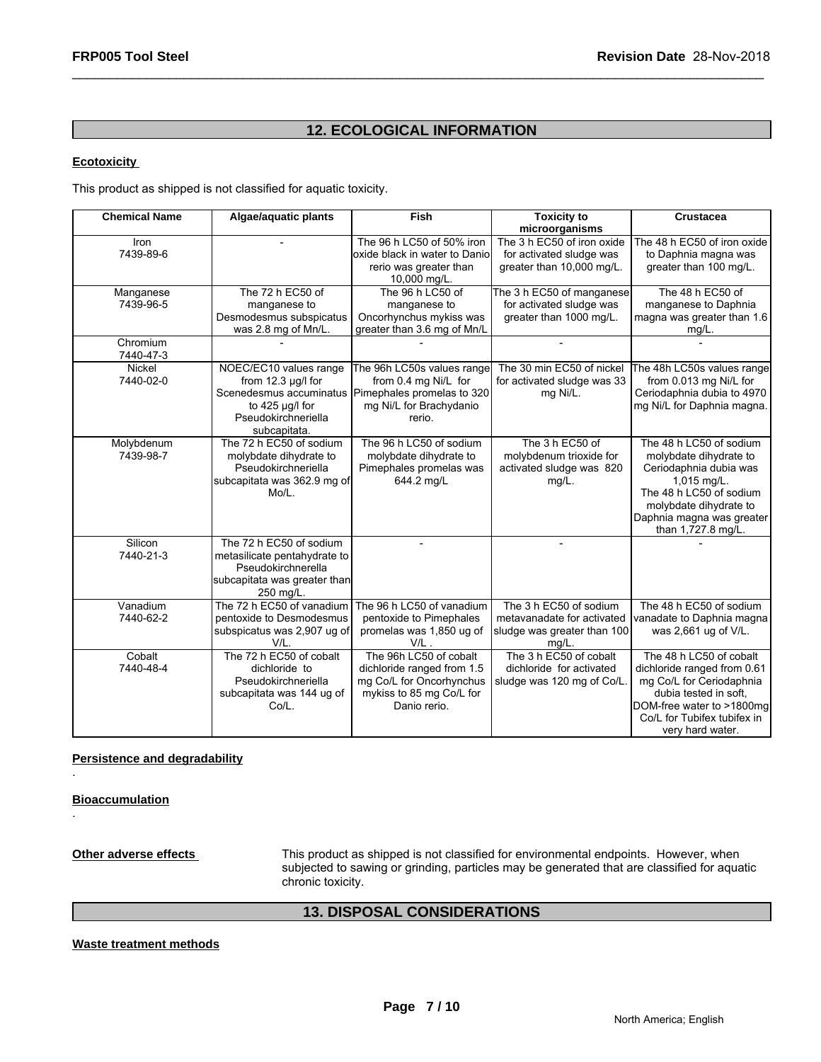# **12. ECOLOGICAL INFORMATION**

# **Ecotoxicity**

| <b>FRP005 Tool Steel</b>          |                                                                                                                            | Revision Date 28-Nov-2018                                                                                                                     |                                                                                                 |                                                                                                                                                                                                    |  |  |  |
|-----------------------------------|----------------------------------------------------------------------------------------------------------------------------|-----------------------------------------------------------------------------------------------------------------------------------------------|-------------------------------------------------------------------------------------------------|----------------------------------------------------------------------------------------------------------------------------------------------------------------------------------------------------|--|--|--|
| <b>12. ECOLOGICAL INFORMATION</b> |                                                                                                                            |                                                                                                                                               |                                                                                                 |                                                                                                                                                                                                    |  |  |  |
| <b>Ecotoxicity</b>                |                                                                                                                            |                                                                                                                                               |                                                                                                 |                                                                                                                                                                                                    |  |  |  |
|                                   | This product as shipped is not classified for aquatic toxicity.                                                            |                                                                                                                                               |                                                                                                 |                                                                                                                                                                                                    |  |  |  |
| <b>Chemical Name</b>              | Algae/aquatic plants                                                                                                       | Fish                                                                                                                                          | <b>Toxicity to</b><br>microorganisms                                                            | <b>Crustacea</b>                                                                                                                                                                                   |  |  |  |
| Iron<br>7439-89-6                 |                                                                                                                            | The 96 h LC50 of 50% iron<br>oxide black in water to Danio<br>rerio was greater than<br>10,000 mg/L.                                          | The 3 h EC50 of iron oxide<br>for activated sludge was<br>greater than 10,000 mg/L.             | The 48 h EC50 of iron oxide<br>to Daphnia magna was<br>greater than 100 mg/L.                                                                                                                      |  |  |  |
| Manganese<br>7439-96-5            | The 72 h EC50 of<br>manganese to<br>Desmodesmus subspicatus<br>was 2.8 mg of Mn/L.                                         | The 96 h LC50 of<br>manganese to<br>Oncorhynchus mykiss was<br>greater than 3.6 mg of Mn/L                                                    | The 3 h EC50 of manganese<br>for activated sludge was<br>greater than 1000 mg/L.                | The 48 h EC50 of<br>manganese to Daphnia<br>magna was greater than 1.6<br>$mg/L$ .                                                                                                                 |  |  |  |
| Chromium<br>7440-47-3             |                                                                                                                            |                                                                                                                                               | $\blacksquare$                                                                                  | $\overline{a}$                                                                                                                                                                                     |  |  |  |
| Nickel<br>7440-02-0               | NOEC/EC10 values range<br>from $12.3 \mu g/l$ for<br>to $425 \mu g/l$ for<br>Pseudokirchneriella<br>subcapitata.           | The 96h LC50s values range<br>from 0.4 mg Ni/L for<br>Scenedesmus accuminatus Pimephales promelas to 320<br>mg Ni/L for Brachydanio<br>rerio. | The 30 min EC50 of nickel<br>for activated sludge was 33<br>mg Ni/L.                            | The 48h LC50s values range<br>from 0.013 mg Ni/L for<br>Ceriodaphnia dubia to 4970<br>mg Ni/L for Daphnia magna.                                                                                   |  |  |  |
| Molybdenum<br>7439-98-7           | The 72 h EC50 of sodium<br>molybdate dihydrate to<br>Pseudokirchneriella<br>subcapitata was 362.9 mg of<br>Mo/L.           | The 96 h LC50 of sodium<br>molybdate dihydrate to<br>Pimephales promelas was<br>644.2 mg/L                                                    | The 3 h EC50 of<br>molybdenum trioxide for<br>activated sludge was 820<br>$mg/L$ .              | The 48 h LC50 of sodium<br>molybdate dihydrate to<br>Ceriodaphnia dubia was<br>1,015 mg/L.<br>The 48 h LC50 of sodium<br>molybdate dihydrate to<br>Daphnia magna was greater<br>than 1,727.8 mg/L. |  |  |  |
| Silicon<br>7440-21-3              | The 72 h EC50 of sodium<br>metasilicate pentahydrate to<br>Pseudokirchnerella<br>subcapitata was greater than<br>250 mg/L. |                                                                                                                                               |                                                                                                 |                                                                                                                                                                                                    |  |  |  |
| Vanadium<br>7440-62-2             | The 72 h EC50 of vanadium<br>pentoxide to Desmodesmus<br>subspicatus was 2,907 ug of<br>V/L.                               | The 96 h LC50 of vanadium<br>pentoxide to Pimephales<br>promelas was 1,850 ug of<br>V/L                                                       | The 3 h EC50 of sodium<br>metavanadate for activated<br>sludge was greater than 100<br>$mq/L$ . | The 48 h EC50 of sodium<br>vanadate to Daphnia magna<br>was 2,661 ug of V/L.                                                                                                                       |  |  |  |
| Cobalt<br>7440-48-4               | The 72 h EC50 of cobalt<br>dichloride to<br>Pseudokirchneriella<br>subcapitata was 144 ug of<br>Co/L.                      | The 96h LC50 of cobalt<br>dichloride ranged from 1.5<br>mg Co/L for Oncorhynchus<br>mykiss to 85 mg Co/L for<br>Danio rerio.                  | The 3 h EC50 of cobalt<br>dichloride for activated<br>sludge was 120 mg of Co/L.                | The 48 h LC50 of cobalt<br>dichloride ranged from 0.61<br>mg Co/L for Ceriodaphnia<br>dubia tested in soft,<br>DOM-free water to >1800mg<br>Co/L for Tubifex tubifex in<br>very hard water.        |  |  |  |

**Persistence and degradability**

**Bioaccumulation**

.

.

**Other adverse effects** This product as shipped is not classified for environmental endpoints. However, when subjected to sawing or grinding, particles may be generated that are classified for aquatic chronic toxicity.

# **13. DISPOSAL CONSIDERATIONS**

# **Waste treatment methods**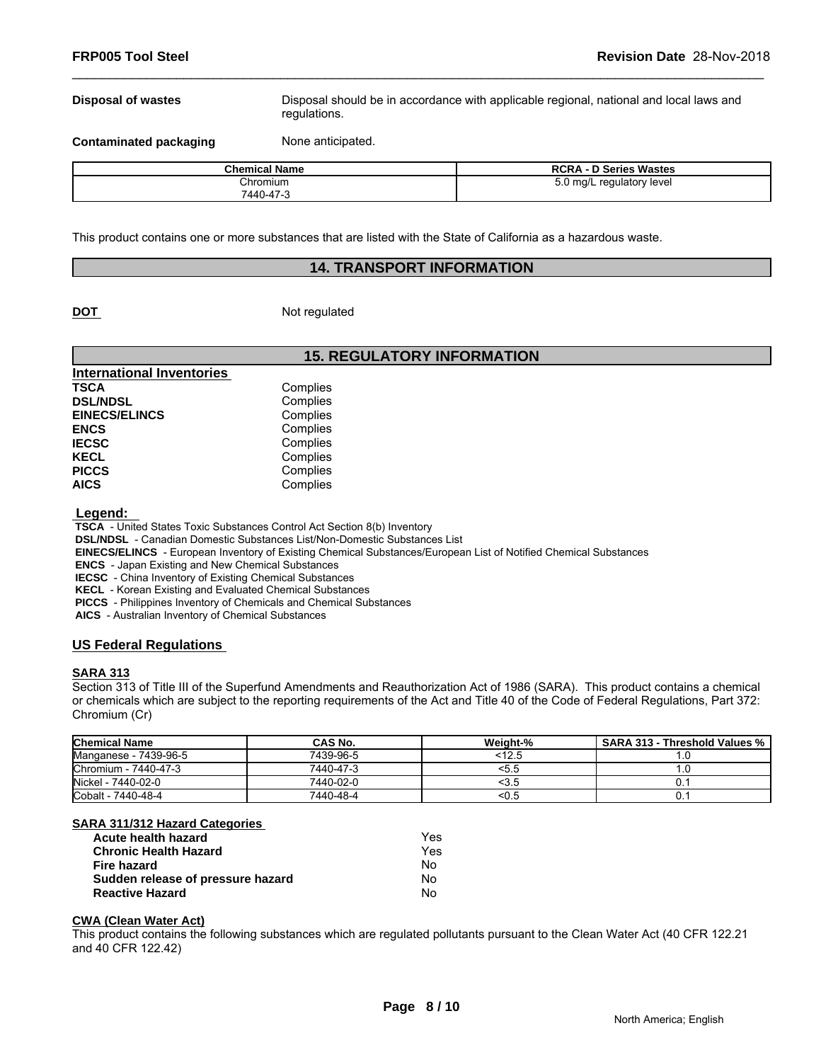**Disposal of wastes** Disposal should be in accordance with applicable regional, national and local laws and regulations.

**Contaminated packaging Mone anticipated.** 

| <b>Chemical Name</b> | <b>RCRA - D Series Wastes</b>  |
|----------------------|--------------------------------|
| Chromium             | $5.0$ ma/L<br>regulatory level |
| 7440-47-3            |                                |

This product contains one or more substances that are listed with the State of California as a hazardous waste.

# **14. TRANSPORT INFORMATION**

**DOT** Not regulated

# **15. REGULATORY INFORMATION**

| Complies |  |
|----------|--|
| Complies |  |
| Complies |  |
| Complies |  |
| Complies |  |
| Complies |  |
| Complies |  |
| Complies |  |
|          |  |

 **Legend:** 

 **TSCA** - United States Toxic Substances Control Act Section 8(b) Inventory

 **DSL/NDSL** - Canadian Domestic Substances List/Non-Domestic Substances List

 **EINECS/ELINCS** - European Inventory of Existing Chemical Substances/European List of Notified Chemical Substances

 **ENCS** - Japan Existing and New Chemical Substances

 **IECSC** - China Inventory of Existing Chemical Substances

 **KECL** - Korean Existing and Evaluated Chemical Substances

 **PICCS** - Philippines Inventory of Chemicals and Chemical Substances

 **AICS** - Australian Inventory of Chemical Substances

# **US Federal Regulations**

# **SARA 313**

Section 313 of Title III of the Superfund Amendments and Reauthorization Act of 1986 (SARA). This product contains a chemical or chemicals which are subject to the reporting requirements of the Act and Title 40 of the Code of Federal Regulations, Part 372: Chromium (Cr)

| <b>Chemical Name</b>  | CAS No.   | Weight-% | <b>SARA 313 - Threshold Values %</b> |
|-----------------------|-----------|----------|--------------------------------------|
| Manganese - 7439-96-5 | 7439-96-5 | <12.5    |                                      |
| Chromium - 7440-47-3  | 7440-47-3 | <ວ.⊽     |                                      |
| Nickel - 7440-02-0    | 7440-02-0 | ∿ບ.ບ     |                                      |
| Cobalt - 7440-48-4    | 7440-48-4 | <∪.5     |                                      |

# **SARA 311/312 Hazard Categories**

| Acute health hazard               | Yes |  |
|-----------------------------------|-----|--|
| <b>Chronic Health Hazard</b>      | Yes |  |
| Fire hazard                       | No. |  |
| Sudden release of pressure hazard | N٥  |  |
| <b>Reactive Hazard</b>            | N٥  |  |

# **CWA (Clean Water Act)**

This product contains the following substances which are regulated pollutants pursuant to the Clean Water Act (40 CFR 122.21 and 40 CFR 122.42)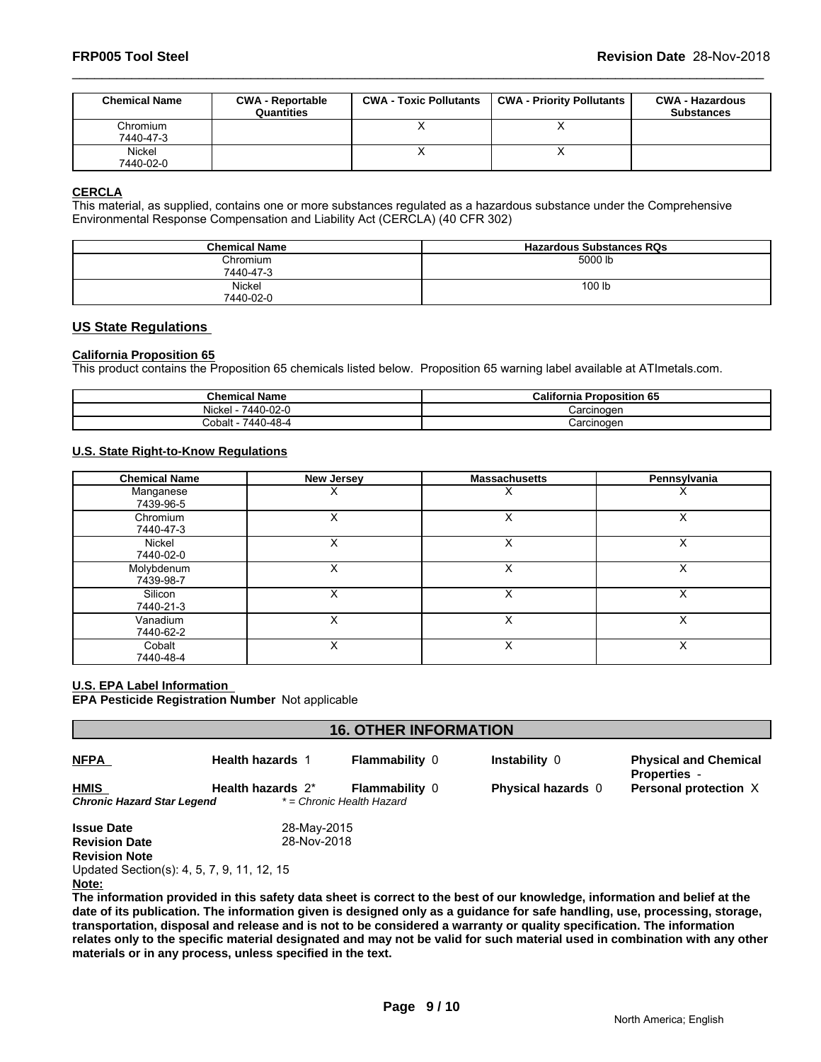| <b>FRP005 Tool Steel</b> |                                       |                               |                                  | Revision Date 28-Nov-2018                   |
|--------------------------|---------------------------------------|-------------------------------|----------------------------------|---------------------------------------------|
|                          |                                       |                               |                                  |                                             |
| <b>Chemical Name</b>     | <b>CWA - Reportable</b><br>Quantities | <b>CWA - Toxic Pollutants</b> | <b>CWA - Priority Pollutants</b> | <b>CWA - Hazardous</b><br><b>Substances</b> |
| Chromium<br>7440-47-3    |                                       | X                             | X                                |                                             |

# **CERCLA**

This material, as supplied, contains one or more substances regulated as a hazardous substance under the Comprehensive Environmental Response Compensation and Liability Act (CERCLA) (40 CFR 302)

| <b>Chemical Name</b> | <b>Hazardous Substances RQs</b> |
|----------------------|---------------------------------|
| Chromium             | 5000 lb                         |
| 7440-47-3            |                                 |
| Nickel               | 100 lb                          |
| 7440-02-0            |                                 |

# **US State Regulations**

# **California Proposition 65**

This product contains the Proposition 65 chemicals listed below. Proposition 65 warning label available at ATImetals.com.

| <b>Chemical Name</b>       | California<br><b>Proposition 65</b> |
|----------------------------|-------------------------------------|
| 7440-02-0<br><b>Nickel</b> | Carcinogen                          |
| 0-48-4<br>7440<br>Cobalt   | شarcinoαer                          |

# **U.S. State Right-to-Know Regulations**

| <b>Chemical Name</b>    | New Jersey | <b>Massachusetts</b> | Pennsylvania |
|-------------------------|------------|----------------------|--------------|
| Manganese<br>7439-96-5  | x          | ́                    | ⋏            |
| Chromium<br>7440-47-3   | X          | v<br>∧               | X            |
| Nickel<br>7440-02-0     | X          | v<br>⋏               | X            |
| Molybdenum<br>7439-98-7 |            |                      | ⋏            |
| Silicon<br>7440-21-3    |            | ⋏                    | х            |
| Vanadium<br>7440-62-2   |            | ∧                    | х            |
| Cobalt<br>7440-48-4     | x          | v<br>⋏               | X            |

# **U.S. EPA Label Information**

**EPA Pesticide Registration Number** Not applicable

| <b>16. OTHER INFORMATION</b>                        |                         |                                                    |                           |                                                     |  |
|-----------------------------------------------------|-------------------------|----------------------------------------------------|---------------------------|-----------------------------------------------------|--|
| <b>NFPA</b>                                         | <b>Health hazards</b> 1 | <b>Flammability 0</b>                              | <b>Instability 0</b>      | <b>Physical and Chemical</b><br><b>Properties -</b> |  |
| <b>HMIS</b><br>Chronic Hazard Star Legend           | Health hazards $2^*$    | <b>Flammability 0</b><br>* = Chronic Health Hazard | <b>Physical hazards</b> 0 | Personal protection X                               |  |
| <b>Issue Date</b>                                   | 28-May-2015             |                                                    |                           |                                                     |  |
| <b>Revision Date</b>                                | 28-Nov-2018             |                                                    |                           |                                                     |  |
| <b>Revision Note</b>                                |                         |                                                    |                           |                                                     |  |
| Updated Section(s): 4, 5, 7, 9, 11, 12, 15<br>Note: |                         |                                                    |                           |                                                     |  |
|                                                     |                         |                                                    |                           |                                                     |  |

**Note:**

**The information provided in this safety data sheet is correct to the best of our knowledge, information and belief at the date of its publication. The information given is designed only as a guidance for safe handling, use, processing, storage, transportation, disposal and release and is not to be considered a warranty or quality specification. The information relates only to the specific material designated and may not be valid for such material used in combination with any other materials or in any process, unless specified in the text.**